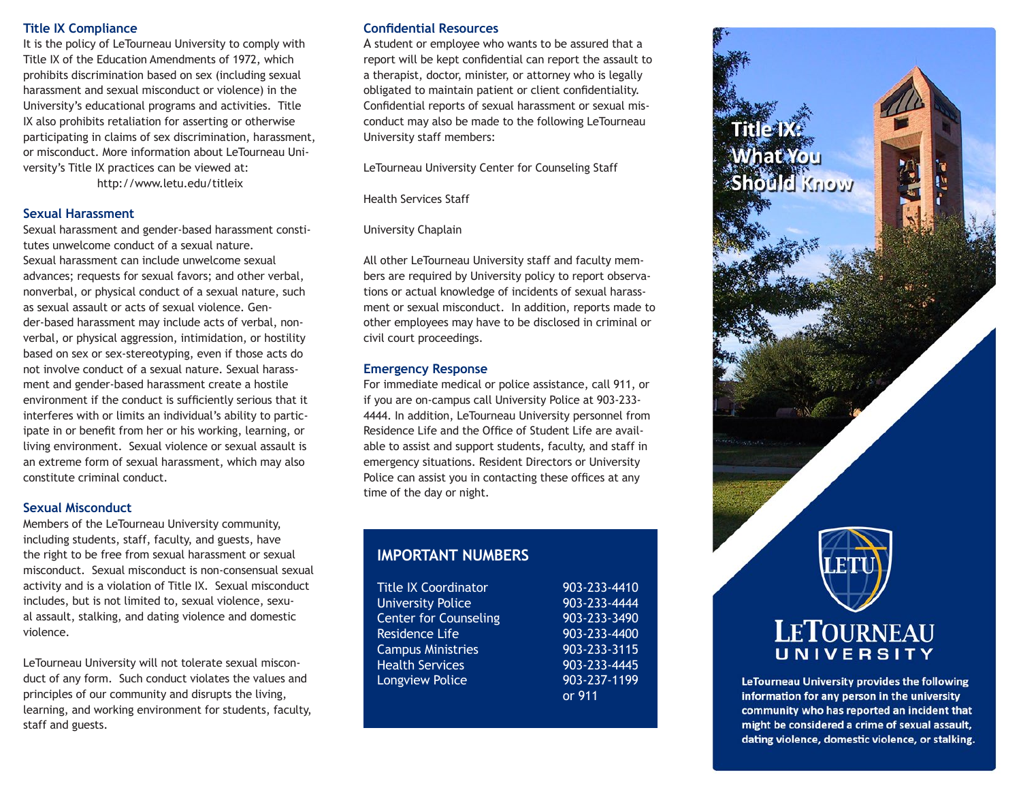## **Title IX Compliance**

It is the policy of LeTourneau University to comply with Title IX of the Education Amendments of 1972, which prohibits discrimination based on sex (including sexual harassment and sexual misconduct or violence) in the University's educational programs and activities. Title IX also prohibits retaliation for asserting or otherwise participating in claims of sex discrimination, harassment, or misconduct. More information about LeTourneau University's Title IX practices can be viewed at:

http://www.letu.edu/titleix

### **Sexual Harassment**

Sexual harassment and gender-based harassment constitutes unwelcome conduct of a sexual nature. Sexual harassment can include unwelcome sexual advances; requests for sexual favors; and other verbal, nonverbal, or physical conduct of a sexual nature, such as sexual assault or acts of sexual violence. Gender-based harassment may include acts of verbal, nonverbal, or physical aggression, intimidation, or hostility based on sex or sex-stereotyping, even if those acts do not involve conduct of a sexual nature. Sexual harassment and gender-based harassment create a hostile environment if the conduct is sufficiently serious that it interferes with or limits an individual's ability to participate in or benefit from her or his working, learning, or living environment. Sexual violence or sexual assault is an extreme form of sexual harassment, which may also constitute criminal conduct.

#### **Sexual Misconduct**

Members of the LeTourneau University community, including students, staff, faculty, and guests, have the right to be free from sexual harassment or sexual misconduct. Sexual misconduct is non-consensual sexual activity and is a violation of Title IX. Sexual misconduct includes, but is not limited to, sexual violence, sexual assault, stalking, and dating violence and domestic violence.

LeTourneau University will not tolerate sexual misconduct of any form. Such conduct violates the values and principles of our community and disrupts the living, learning, and working environment for students, faculty, staff and guests.

## **Confidential Resources**

A student or employee who wants to be assured that a report will be kept confidential can report the assault to a therapist, doctor, minister, or attorney who is legally obligated to maintain patient or client confidentiality. Confidential reports of sexual harassment or sexual misconduct may also be made to the following LeTourneau University staff members:

LeTourneau University Center for Counseling Staff

Health Services Staff

## University Chaplain

All other LeTourneau University staff and faculty members are required by University policy to report observations or actual knowledge of incidents of sexual harassment or sexual misconduct. In addition, reports made to other employees may have to be disclosed in criminal or civil court proceedings.

# **Emergency Response**

For immediate medical or police assistance, call 911, or if you are on-campus call University Police at 903-233- 4444. In addition, LeTourneau University personnel from Residence Life and the Office of Student Life are available to assist and support students, faculty, and staff in emergency situations. Resident Directors or University Police can assist you in contacting these offices at any time of the day or night.

# **IMPORTANT NUMBERS**

| <b>Title IX Coordinator</b>  | 903-233-4410 |
|------------------------------|--------------|
| <b>University Police</b>     | 903-233-4444 |
| <b>Center for Counseling</b> | 903-233-3490 |
| Residence Life               | 903-233-4400 |
| <b>Campus Ministries</b>     | 903-233-3115 |
| <b>Health Services</b>       | 903-233-4445 |
| Longview Police              | 903-237-1199 |
|                              | or 911       |



information for any person in the university community who has reported an incident that might be considered a crime of sexual assault, dating violence, domestic violence, or stalking.